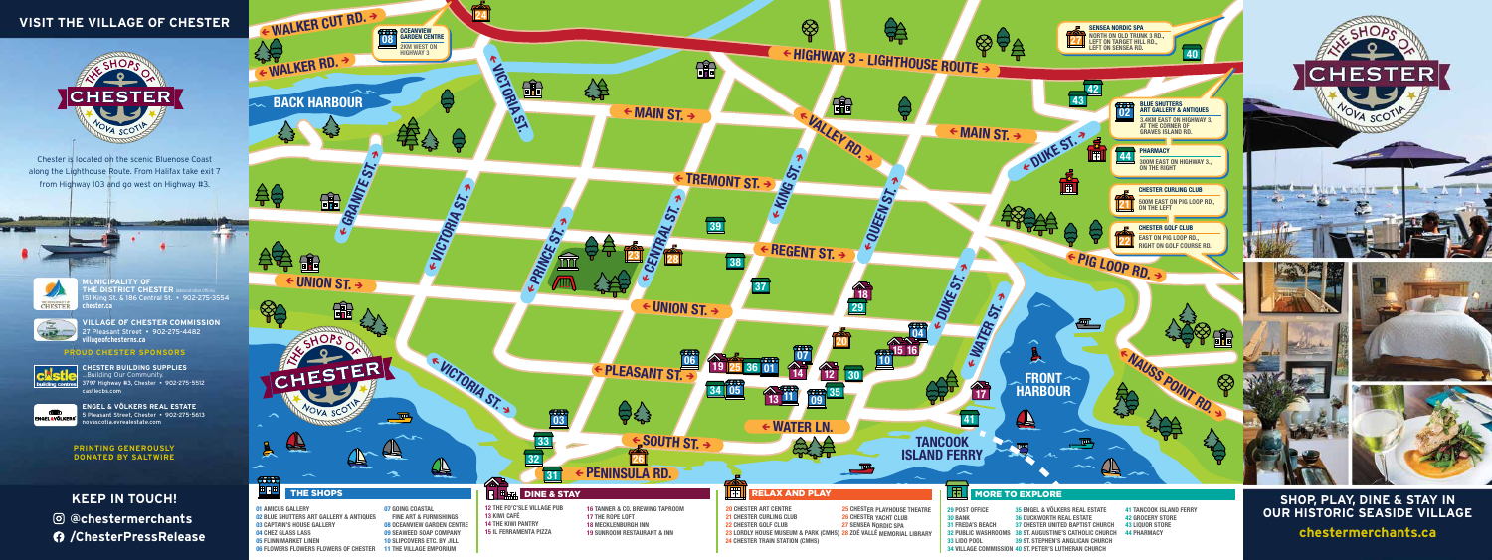06 FLOWERS FLOWERS FLOWERS OF CHESTER 11 THE VILLAGE EMPORIUM



34 VILLAGE COMMISSION 40 ST. PETER'S LUTHERAN CHURCH

Chester is located on the scenic Bluenose Coast along the Lighthouse Route. From Halifax take exit 7 from Highway 103 and go west on Highway #3.



**CHESTER BUILDING SUPPLIES** ...Building Our Community. 3797 Highway #3, Chester • 902-275-5512 castlecbs.com

**ENGEL & VÖLKERS REAL ESTATE** 5 Pleasant Street, Chester • 902-275-5613 novascotia.evrealestate.com

### **PROUD CHESTER SPONSORS**



NGEL & VÖLKE

**MUNICIPALITY OF THE DISTRICT CHESTER**  $\phi$ 151 King St. & 186 Central St. • 902-275-3554 **chester.ca**

**VILLAGE OF CHESTER COMMISSION** 27 Pleasant Street • 902-275-4482 **villageofchesterns.ca**

# **VISIT THE VILLAGE OF CHESTER**



**@chestermerchants /ChesterPressRelease**

### **PRINTING GENEROUSLY DONATED BY SALTWIRE**